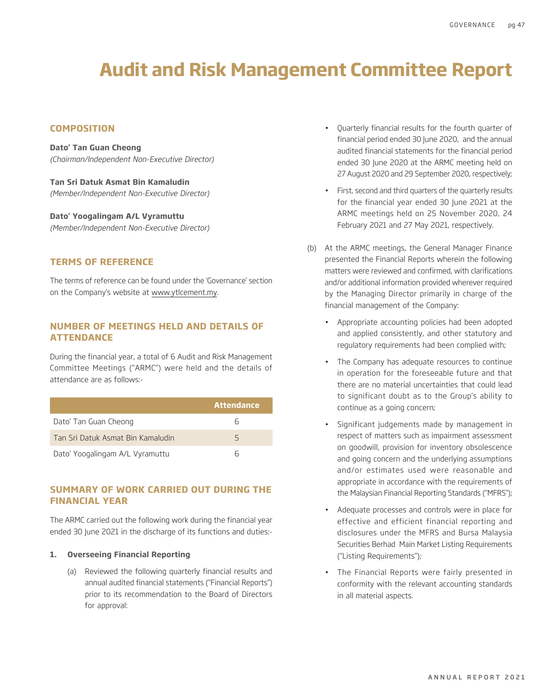# **Audit and Risk Management Committee Report**

# **COMPOSITION**

**Dato' Tan Guan Cheong** *(Chairman/Independent Non-Executive Director)*

**Tan Sri Datuk Asmat Bin Kamaludin** *(Member/Independent Non-Executive Director)*

**Dato' Yoogalingam A/L Vyramuttu** *(Member/Independent Non-Executive Director)*

## **TERMS OF REFERENCE**

The terms of reference can be found under the 'Governance' section on the Company's website at www.ytlcement.my.

# **NUMBER OF MEETINGS HELD AND DETAILS OF ATTENDANCE**

During the financial year, a total of 6 Audit and Risk Management Committee Meetings ("ARMC") were held and the details of attendance are as follows:-

|                                   | <b>Attendance</b> |
|-----------------------------------|-------------------|
| Dato' Tan Guan Cheong             | Ь                 |
| Tan Sri Datuk Asmat Bin Kamaludin | 5                 |
| Dato' Yoogalingam A/L Vyramuttu   | ь                 |

# **SUMMARY OF WORK CARRIED OUT DURING THE FINANCIAL YEAR**

The ARMC carried out the following work during the financial year ended 30 June 2021 in the discharge of its functions and duties:-

## **1. Overseeing Financial Reporting**

(a) Reviewed the following quarterly financial results and annual audited financial statements ("Financial Reports") prior to its recommendation to the Board of Directors for approval:

- Quarterly financial results for the fourth quarter of financial period ended 30 June 2020, and the annual audited financial statements for the financial period ended 30 June 2020 at the ARMC meeting held on 27 August 2020 and 29 September 2020, respectively;
- First, second and third quarters of the quarterly results for the financial year ended 30 June 2021 at the ARMC meetings held on 25 November 2020, 24 February 2021 and 27 May 2021, respectively.
- (b) At the ARMC meetings, the General Manager Finance presented the Financial Reports wherein the following matters were reviewed and confirmed, with clarifications and/or additional information provided wherever required by the Managing Director primarily in charge of the financial management of the Company:
	- Appropriate accounting policies had been adopted and applied consistently, and other statutory and regulatory requirements had been complied with;
	- The Company has adequate resources to continue in operation for the foreseeable future and that there are no material uncertainties that could lead to significant doubt as to the Group's ability to continue as a going concern;
	- Significant judgements made by management in respect of matters such as impairment assessment on goodwill, provision for inventory obsolescence and going concern and the underlying assumptions and/or estimates used were reasonable and appropriate in accordance with the requirements of the Malaysian Financial Reporting Standards ("MFRS");
	- Adequate processes and controls were in place for effective and efficient financial reporting and disclosures under the MFRS and Bursa Malaysia Securities Berhad Main Market Listing Requirements ("Listing Requirements");
	- The Financial Reports were fairly presented in conformity with the relevant accounting standards in all material aspects.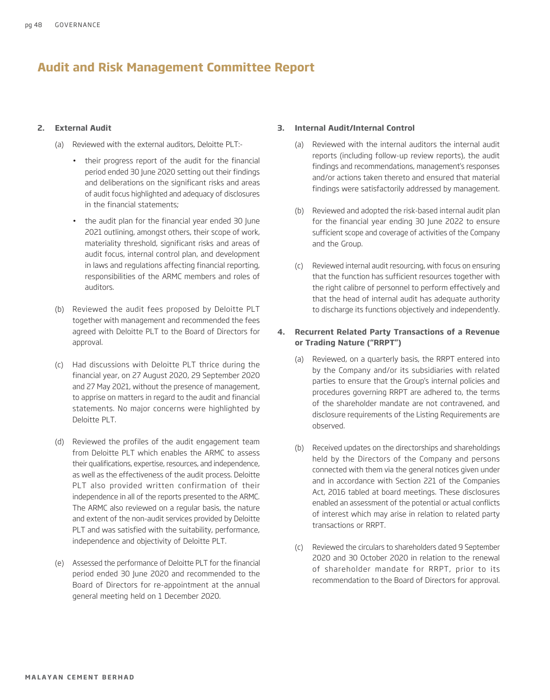# **Audit and Risk Management Committee Report**

#### **2. External Audit**

(a) Reviewed with the external auditors, Deloitte PLT:-

- their progress report of the audit for the financial period ended 30 June 2020 setting out their findings and deliberations on the significant risks and areas of audit focus highlighted and adequacy of disclosures in the financial statements;
- the audit plan for the financial year ended 30 June 2021 outlining, amongst others, their scope of work, materiality threshold, significant risks and areas of audit focus, internal control plan, and development in laws and regulations affecting financial reporting, responsibilities of the ARMC members and roles of auditors.
- (b) Reviewed the audit fees proposed by Deloitte PLT together with management and recommended the fees agreed with Deloitte PLT to the Board of Directors for approval.
- (c) Had discussions with Deloitte PLT thrice during the financial year, on 27 August 2020, 29 September 2020 and 27 May 2021, without the presence of management, to apprise on matters in regard to the audit and financial statements. No major concerns were highlighted by Deloitte PLT.
- (d) Reviewed the profiles of the audit engagement team from Deloitte PLT which enables the ARMC to assess their qualifications, expertise, resources, and independence, as well as the effectiveness of the audit process. Deloitte PLT also provided written confirmation of their independence in all of the reports presented to the ARMC. The ARMC also reviewed on a regular basis, the nature and extent of the non-audit services provided by Deloitte PLT and was satisfied with the suitability, performance, independence and objectivity of Deloitte PLT.
- (e) Assessed the performance of Deloitte PLT for the financial period ended 30 June 2020 and recommended to the Board of Directors for re-appointment at the annual general meeting held on 1 December 2020.

#### **3. Internal Audit/Internal Control**

- (a) Reviewed with the internal auditors the internal audit reports (including follow-up review reports), the audit findings and recommendations, management's responses and/or actions taken thereto and ensured that material findings were satisfactorily addressed by management.
- (b) Reviewed and adopted the risk-based internal audit plan for the financial year ending 30 June 2022 to ensure sufficient scope and coverage of activities of the Company and the Group.
- (c) Reviewed internal audit resourcing, with focus on ensuring that the function has sufficient resources together with the right calibre of personnel to perform effectively and that the head of internal audit has adequate authority to discharge its functions objectively and independently.

# **4. Recurrent Related Party Transactions of a Revenue or Trading Nature ("RRPT")**

- (a) Reviewed, on a quarterly basis, the RRPT entered into by the Company and/or its subsidiaries with related parties to ensure that the Group's internal policies and procedures governing RRPT are adhered to, the terms of the shareholder mandate are not contravened, and disclosure requirements of the Listing Requirements are observed.
- (b) Received updates on the directorships and shareholdings held by the Directors of the Company and persons connected with them via the general notices given under and in accordance with Section 221 of the Companies Act, 2016 tabled at board meetings. These disclosures enabled an assessment of the potential or actual conflicts of interest which may arise in relation to related party transactions or RRPT.
- (c) Reviewed the circulars to shareholders dated 9 September 2020 and 30 October 2020 in relation to the renewal of shareholder mandate for RRPT, prior to its recommendation to the Board of Directors for approval.